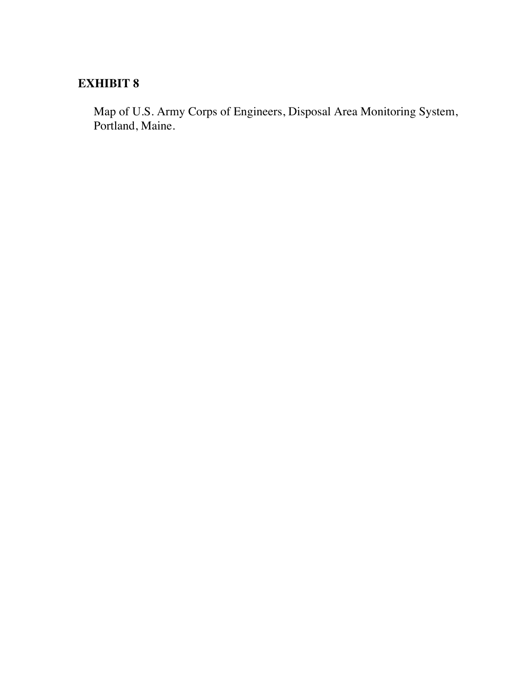## **EXHIBIT 8**

Map of U.S. Army Corps of Engineers, Disposal Area Monitoring System, Portland, Maine.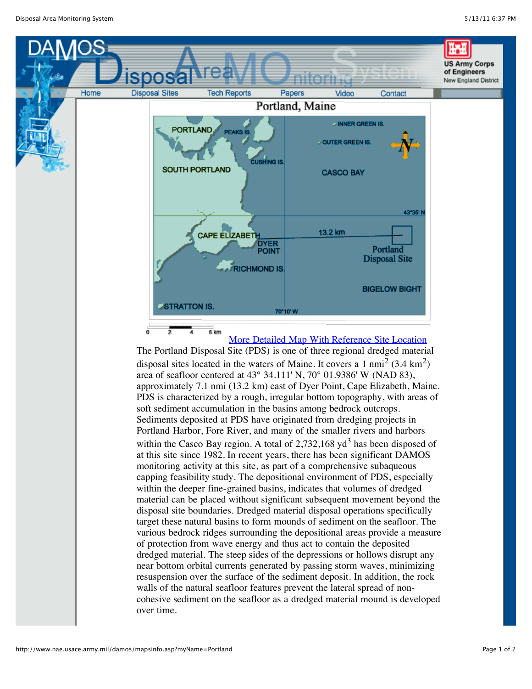

The Portland Disposal Site (PDS) is one of three regional dredged material disposal sites located in the waters of Maine. It covers a 1 nmi<sup>2</sup> (3.4 km<sup>2</sup>) area of seafloor centered at 43° 34.111' N, 70° 01.9386' W (NAD 83), approximately 7.1 nmi (13.2 km) east of Dyer Point, Cape Elizabeth, Maine. PDS is characterized by a rough, irregular bottom topography, with areas of soft sediment accumulation in the basins among bedrock outcrops. Sediments deposited at PDS have originated from dredging projects in Portland Harbor, Fore River, and many of the smaller rivers and harbors within the Casco Bay region. A total of  $2,732,168$  yd<sup>3</sup> has been disposed of at this site since 1982. In recent years, there has been significant DAMOS monitoring activity at this site, as part of a comprehensive subaqueous capping feasibility study. The depositional environment of PDS, especially within the deeper fine-grained basins, indicates that volumes of dredged material can be placed without significant subsequent movement beyond the disposal site boundaries. Dredged material disposal operations specifically target these natural basins to form mounds of sediment on the seafloor. The various bedrock ridges surrounding the depositional areas provide a measure of protection from wave energy and thus act to contain the deposited dredged material. The steep sides of the depressions or hollows disrupt any near bottom orbital currents generated by passing storm waves, minimizing resuspension over the surface of the sediment deposit. In addition, the rock walls of the natural seafloor features prevent the lateral spread of noncohesive sediment on the seafloor as a dredged material mound is developed over time.